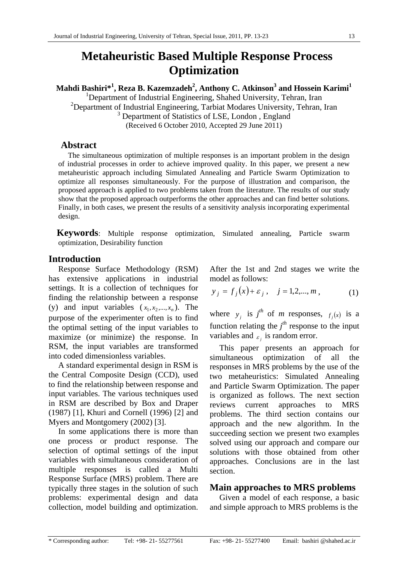# **Metaheuristic Based Multiple Response Process Optimization**

 $\mathbf{M}$ ahdi Bashiri $^{*1}$ , Reza B. Kazemzadeh $^{2}$ , Anthony C. Atkinson $^{3}$  and Hossein Karimi $^{1}$ <sup>1</sup>Department of Industrial Engineering, Shahed University, Tehran, Iran

<sup>2</sup>Department of Industrial Engineering, Tarbiat Modares University, Tehran, Iran <sup>3</sup> Department of Statistics of LSE, London, England (Received 6 October 2010, Accepted 29 June 2011)

## **Abstract**

The simultaneous optimization of multiple responses is an important problem in the design of industrial processes in order to achieve improved quality. In this paper, we present a new metaheuristic approach including Simulated Annealing and Particle Swarm Optimization to optimize all responses simultaneously. For the purpose of illustration and comparison, the proposed approach is applied to two problems taken from the literature. The results of our study show that the proposed approach outperforms the other approaches and can find better solutions. Finally, in both cases, we present the results of a sensitivity analysis incorporating experimental design.

**Keywords**: Multiple response optimization, Simulated annealing, Particle swarm optimization, Desirability function

# **Introduction**

Response Surface Methodology (RSM) has extensive applications in industrial settings. It is a collection of techniques for finding the relationship between a response (y) and input variables  $(x_1, x_2, \ldots, x_n)$ . The purpose of the experimenter often is to find the optimal setting of the input variables to maximize (or minimize) the response. In RSM, the input variables are transformed into coded dimensionless variables.

A standard experimental design in RSM is the Central Composite Design (CCD), used to find the relationship between response and input variables. The various techniques used in RSM are described by Box and Draper (1987) [1], Khuri and Cornell (1996) [2] and Myers and Montgomery (2002) [3].

In some applications there is more than one process or product response. The selection of optimal settings of the input variables with simultaneous consideration of multiple responses is called a Multi Response Surface (MRS) problem. There are typically three stages in the solution of such problems: experimental design and data collection, model building and optimization.

After the 1st and 2nd stages we write the model as follows:

$$
y_j = f_j(x) + \varepsilon_j
$$
,  $j = 1, 2, ..., m$ , (1)

where  $y_j$  is  $j^{th}$  of *m* responses,  $f_j(x)$  is a function relating the  $j<sup>th</sup>$  response to the input variables and  $\epsilon_i$  is random error.

This paper presents an approach for simultaneous optimization of all the responses in MRS problems by the use of the two metaheuristics: Simulated Annealing and Particle Swarm Optimization. The paper is organized as follows. The next section reviews current approaches to MRS problems. The third section contains our approach and the new algorithm. In the succeeding section we present two examples solved using our approach and compare our solutions with those obtained from other approaches. Conclusions are in the last section.

## **Main approaches to MRS problems**

Given a model of each response, a basic and simple approach to MRS problems is the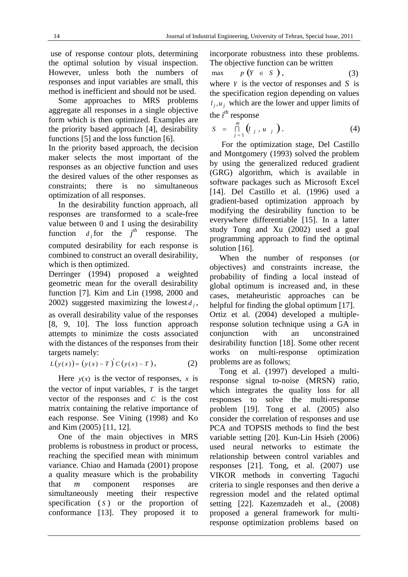use of response contour plots, determining the optimal solution by visual inspection. However, unless both the numbers of responses and input variables are small, this method is inefficient and should not be used.

Some approaches to MRS problems aggregate all responses in a single objective form which is then optimized. Examples are the priority based approach [4], desirability functions [5] and the loss function [6].

In the priority based approach, the decision maker selects the most important of the responses as an objective function and uses the desired values of the other responses as constraints; there is no simultaneous optimization of all responses.

In the desirability function approach, all responses are transformed to a scale-free value between 0 and 1 using the desirability function  $d_j$  for the  $j^{th}$  response. The computed desirability for each response is combined to construct an overall desirability, which is then optimized.

Derringer (1994) proposed a weighted geometric mean for the overall desirability function [7]. Kim and Lin (1998, 2000 and 2002) suggested maximizing the lowest  $d_i$ , as overall desirability value of the responses [8, 9, 10]. The loss function approach attempts to minimize the costs associated with the distances of the responses from their targets namely:

$$
L(y(x)) = (y(x) - T)'C(y(x) - T),
$$
 (2)

Here  $y(x)$  is the vector of responses, x is the vector of input variables, *T* is the target vector of the responses and *C* is the cost matrix containing the relative importance of each response. See Vining (1998) and Ko and Kim (2005) [11, 12].

One of the main objectives in MRS problems is robustness in product or process, reaching the specified mean with minimum variance. Chiao and Hamada (2001) propose a quality measure which is the probability that *m* component responses are simultaneously meeting their respective specification (*S*) or the proportion of conformance [13]. They proposed it to

incorporate robustness into these problems. The objective function can be written

$$
\max \qquad p \left( Y \in S \right), \tag{3}
$$

where *Y* is the vector of responses and *S* is the specification region depending on values  $l_i, u_j$  which are the lower and upper limits of the  $i^{th}$  response

$$
S = \bigcap_{j=1}^{m} (l_j, u_j).
$$
 (4)

 For the optimization stage, Del Castillo and Montgomery (1993) solved the problem by using the generalized reduced gradient (GRG) algorithm, which is available in software packages such as Microsoft Excel [14]. Del Castillo et al. (1996) used a gradient-based optimization approach by modifying the desirability function to be everywhere differentiable [15]. In a latter study Tong and Xu (2002) used a goal programming approach to find the optimal solution [16].

When the number of responses (or objectives) and constraints increase, the probability of finding a local instead of global optimum is increased and, in these cases, metaheuristic approaches can be helpful for finding the global optimum [17]. Ortiz et al. (2004) developed a multipleresponse solution technique using a GA in conjunction with an unconstrained desirability function [18]. Some other recent works on multi-response optimization problems are as follows;

Tong et al. (1997) developed a multiresponse signal to-noise (MRSN) ratio, which integrates the quality loss for all responses to solve the multi-response problem [19]. Tong et al. (2005) also consider the correlation of responses and use PCA and TOPSIS methods to find the best variable setting [20]. Kun-Lin Hsieh (2006) used neural networks to estimate the relationship between control variables and responses [21]. Tong, et al. (2007) use VIKOR methods in converting Taguchi criteria to single responses and then derive a regression model and the related optimal setting [22]. Kazemzadeh et al., (2008) proposed a general framework for multiresponse optimization problems based on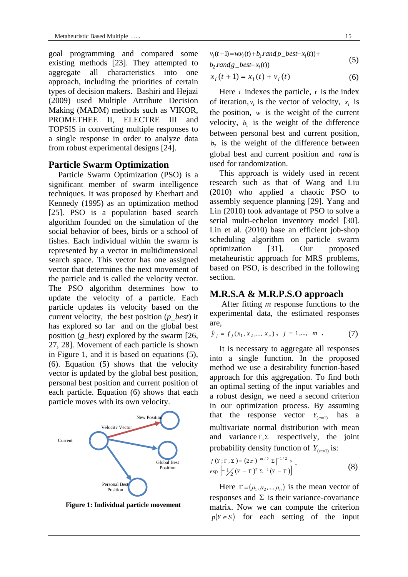goal programming and compared some existing methods [23]. They attempted to aggregate all characteristics into one approach, including the priorities of certain types of decision makers. Bashiri and Hejazi (2009) used Multiple Attribute Decision Making (MADM) methods such as VIKOR, PROMETHEE II, ELECTRE III and TOPSIS in converting multiple responses to a single response in order to analyze data from robust experimental designs [24].

#### **Particle Swarm Optimization**

Particle Swarm Optimization (PSO) is a significant member of swarm intelligence techniques. It was proposed by Eberhart and Kennedy (1995) as an optimization method [25]. PSO is a population based search algorithm founded on the simulation of the social behavior of bees, birds or a school of fishes. Each individual within the swarm is represented by a vector in multidimensional search space. This vector has one assigned vector that determines the next movement of the particle and is called the velocity vector. The PSO algorithm determines how to update the velocity of a particle. Each particle updates its velocity based on the current velocity, the best position (*p\_best*) it has explored so far and on the global best position (*g\_best*) explored by the swarm [26, 27, 28]. Movement of each particle is shown in Figure 1, and it is based on equations (5), (6). Equation (5) shows that the velocity vector is updated by the global best position, personal best position and current position of each particle. Equation (6) shows that each particle moves with its own velocity.



**Figure 1: Individual particle movement** 

$$
v_i(t+1) = w v_i(t) + b_1 rand p\_best - x_i(t) + b_2 rand g\_best - x_i(t)
$$
\n
$$
(5)
$$

$$
b_2
$$
randg\_best $-x_i(t)$ 

$$
x_i(t+1) = x_i(t) + v_i(t)
$$
 (6)

Here *i* indexes the particle, *t* is the index of iteration,  $v_i$  is the vector of velocity,  $x_i$  is the position,  $w$  is the weight of the current velocity,  $b_1$  is the weight of the difference between personal best and current position,  $b_2$  is the weight of the difference between global best and current position and *rand* is used for randomization.

This approach is widely used in recent research such as that of Wang and Liu (2010) who applied a chaotic PSO to assembly sequence planning [29]. Yang and Lin (2010) took advantage of PSO to solve a serial multi-echelon inventory model [30]. Lin et al. (2010) base an efficient job-shop scheduling algorithm on particle swarm optimization [31]. Our proposed metaheuristic approach for MRS problems, based on PSO, is described in the following section.

## **M.R.S.A & M.R.P.S.O approach**

 After fitting *m* response functions to the experimental data, the estimated responses are,

$$
\hat{y}_j = f_j(x_1, x_2, \dots, x_n), \quad j = 1, \dots, m \quad . \tag{7}
$$

It is necessary to aggregate all responses into a single function. In the proposed method we use a desirability function-based approach for this aggregation. To find both an optimal setting of the input variables and a robust design, we need a second criterion in our optimization process. By assuming that the response vector  $Y_{(m \times 1)}$  has a multivariate normal distribution with mean and variance  $\Gamma$ ,  $\Sigma$  respectively, the joint probability density function of  $Y_{(m \times 1)}$  is:

$$
f(Y; \Gamma, \Sigma) = (2\pi)^{-m/2} |\Sigma|^{-1/2} \times \exp\left[-\frac{1}{2}(Y - \Gamma)^T \Sigma^{-1}(Y - \Gamma)\right].
$$
\n(8)

Here  $\Gamma = (\mu_1, \mu_2, ..., \mu_n)$  is the mean vector of responses and  $\Sigma$  is their variance-covariance matrix. Now we can compute the criterion  $p(Y \in S)$  for each setting of the input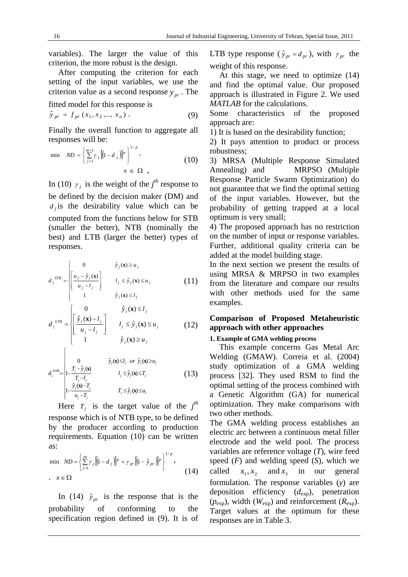variables). The larger the value of this criterion, the more robust is the design.

After computing the criterion for each setting of the input variables, we use the criterion value as a second response  $y_{nr}$ . The fitted model for this response is

$$
\hat{y}_{pr} = f_{pr}(x_1, x_2, ..., x_n).
$$
 (9)

Finally the overall function to aggregate all responses will be:

$$
\min \quad ND = \left\{ \sum_{j=1}^{m+1} \gamma_j \left[ (1 - d_j) \right]^p \right\}^{1/p} \tag{10}
$$
\n
$$
x \in \Omega \quad ,
$$

In (10)  $\gamma_j$  is the weight of the *j<sup>th</sup>* response to be defined by the decision maker (DM) and  $d_i$  is the desirability value which can be computed from the functions below for STB (smaller the better), NTB (nominally the best) and LTB (larger the better) types of responses.

$$
d_j^{STB} = \begin{cases} 0 & \hat{y}_j(\mathbf{x}) \ge u_j \\ \left[ \frac{u_j - \hat{y}_j(\mathbf{x})}{u_j - l_j} \right] & l_j \le \hat{y}_j(\mathbf{x}) \le u_j \\ 1 & \hat{y}_j(\mathbf{x}) \le l \end{cases}
$$
 (11)

$$
\begin{vmatrix} 1 & \hat{y}_j(\mathbf{x}) \le l_j \\ 0 & \hat{y}_j(\mathbf{x}) \le l_j \end{vmatrix}
$$

$$
d_j^{LTB} = \begin{cases} \frac{\hat{y}_j(\mathbf{x}) - l_j}{u_j - l_j} & l_j \le \hat{y}_j(\mathbf{x}) \le u_j \\ 1 & \hat{y}_j(\mathbf{x}) \ge u_j \end{cases}
$$
 (12)

$$
d_j^{NTB} = \begin{cases}\n0 & \hat{y}_j(\mathbf{x}) \le l_j \text{ or } \hat{y}_j(\mathbf{x}) \ge u_j \\
1 - \frac{T_j - \hat{y}_j(\mathbf{x})}{T_j - l_j} & l_j \le \hat{y}_j(\mathbf{x}) \le T_j \\
1 - \frac{\hat{y}_j(\mathbf{x}) - T_j}{u_j - T_j} & T_j \le \hat{y}_j(\mathbf{x}) \le u_j\n\end{cases}
$$
\n(13)

Here  $T_j$  is the target value of the  $j^{th}$ response which is of NTB type, to be defined by the producer according to production requirements. Equation (10) can be written as:

$$
\begin{aligned}\n\min \quad ND &= \left\{ \sum_{j=1}^{m} \gamma_j \left[ \left( 1 - d_j \right) \right]^p + \gamma_{pr} \left[ \left( 1 - \hat{\gamma}_{pr} \right) \right]^p \right\}^{1/p}, \\
\text{.} \quad x & \in \Omega\n\end{aligned} \tag{14}
$$

In (14)  $\hat{y}_{pr}$  is the response that is the probability of conforming to the specification region defined in (9). It is of LTB type response ( $\hat{y}_{pr} = d_{pr}$ ), with  $\gamma_{pr}$  the weight of this response.

At this stage, we need to optimize (14) and find the optimal value. Our proposed approach is illustrated in Figure 2. We used *MATLAB* for the calculations.

Some characteristics of the proposed approach are:

1) It is based on the desirability function;

2) It pays attention to product or process robustness;

3) MRSA (Multiple Response Simulated Annealing) and MRPSO (Multiple Response Particle Swarm Optimization) do not guarantee that we find the optimal setting of the input variables. However, but the probability of getting trapped at a local optimum is very small;

4) The proposed approach has no restriction on the number of input or response variables. Further, additional quality criteria can be added at the model building stage.

In the next section we present the results of using MRSA & MRPSO in two examples from the literature and compare our results with other methods used for the same examples.

## **Comparison of Proposed Metaheuristic approach with other approaches**

#### **1. Example of GMA welding process**

This example concerns Gas Metal Arc Welding (GMAW). Correia et al. (2004) study optimization of a GMA welding process [32]. They used RSM to find the optimal setting of the process combined with a Genetic Algorithm (GA) for numerical optimization. They make comparisons with two other methods.

The GMA welding process establishes an electric arc between a continuous metal filler electrode and the weld pool. The process variables are reference voltage (*T*), wire feed speed (*F*) and welding speed (*S*), which we called  $x_1, x_2$  and  $x_3$  in our general formulation. The response variables (*y*) are deposition efficiency (*d*exp), penetration  $(p_{exp})$ , width ( $W_{exp}$ ) and reinforcement ( $R_{exp}$ ). Target values at the optimum for these responses are in Table 3.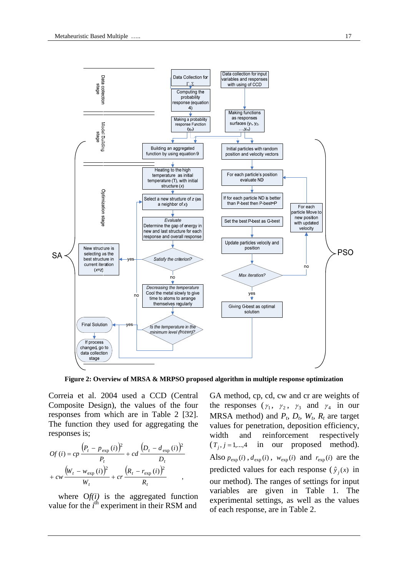

**Figure 2: Overview of MRSA & MRPSO proposed algorithm in multiple response optimization** 

Correia et al. 2004 used a CCD (Central Composite Design), the values of the four responses from which are in Table 2 [32]. The function they used for aggregating the responses is;

$$
Of (i) = cp \frac{(P_t - p_{exp} (i))^2}{P_t} + cd \frac{(D_t - d_{exp} (i))^2}{D_t} + cw \frac{(W_t - w_{exp} (i))^2}{W_t} + cr \frac{(R_t - r_{exp} (i))^2}{R_t},
$$

where  $Of(i)$  is the aggregated function value for the *i*<sup>th</sup> experiment in their RSM and GA method, cp, cd, cw and cr are weights of the responses  $(\gamma_1, \gamma_2, \gamma_3$  and  $\gamma_4$  in our MRSA method) and  $P_t$ ,  $D_t$ ,  $W_t$ ,  $R_t$  are target values for penetration, deposition efficiency, width and reinforcement respectively  $(T_i, j=1,\dots,4$  in our proposed method). Also  $p_{exp}(i)$ ,  $d_{exp}(i)$ ,  $w_{exp}(i)$  and  $r_{exp}(i)$  are the predicted values for each response ( $\hat{y}_i(x)$  in our method). The ranges of settings for input variables are given in Table 1. The experimental settings, as well as the values of each response, are in Table 2.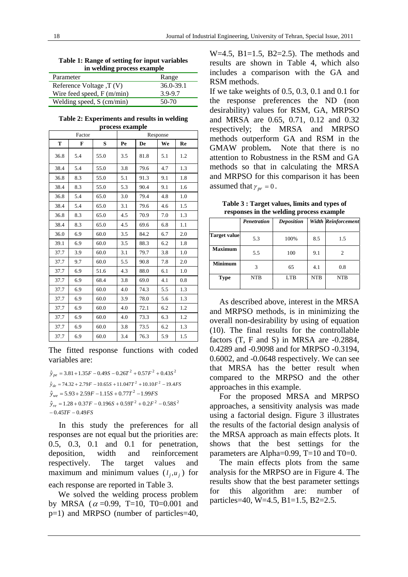**Table 1: Range of setting for input variables in welding process example** 

| Parameter                   | Range     |
|-----------------------------|-----------|
| Reference Voltage, T (V)    | 36.0-39.1 |
| Wire feed speed, $F(m/min)$ | 3.9-9.7   |
| Welding speed, $S$ (cm/min) | 50-70     |

**Table 2: Experiments and results in welding process example** 

|      | Factor |      | Response |      |     |     |  |
|------|--------|------|----------|------|-----|-----|--|
| T    | F      | S    | Pe       | De   | We  | Re  |  |
| 36.8 | 5.4    | 55.0 | 3.5      | 81.8 | 5.1 | 1.2 |  |
| 38.4 | 5.4    | 55.0 | 3.8      | 79.6 | 4.7 | 1.3 |  |
| 36.8 | 8.3    | 55.0 | 5.1      | 91.3 | 9.1 | 1.8 |  |
| 38.4 | 8.3    | 55.0 | 5.3      | 90.4 | 9.1 | 1.6 |  |
| 36.8 | 5.4    | 65.0 | 3.0      | 79.4 | 4.8 | 1.0 |  |
| 38.4 | 5.4    | 65.0 | 3.1      | 79.6 | 4.6 | 1.5 |  |
| 36.8 | 8.3    | 65.0 | 4.5      | 70.9 | 7.0 | 1.3 |  |
| 38.4 | 8.3    | 65.0 | 4.5      | 69.6 | 6.8 | 1.1 |  |
| 36.0 | 6.9    | 60.0 | 3.5      | 84.2 | 6.7 | 2.0 |  |
| 39.1 | 6.9    | 60.0 | 3.5      | 88.3 | 6.2 | 1.8 |  |
| 37.7 | 3.9    | 60.0 | 3.1      | 79.7 | 3.8 | 1.0 |  |
| 37.7 | 9.7    | 60.0 | 5.5      | 90.8 | 7.8 | 2.0 |  |
| 37.7 | 6.9    | 51.6 | 4.3      | 88.0 | 6.1 | 1.0 |  |
| 37.7 | 6.9    | 68.4 | 3.8      | 69.0 | 4.1 | 0.8 |  |
| 37.7 | 6.9    | 60.0 | 4.0      | 74.3 | 5.5 | 1.3 |  |
| 37.7 | 6.9    | 60.0 | 3.9      | 78.0 | 5.6 | 1.3 |  |
| 37.7 | 6.9    | 60.0 | 4.0      | 72.1 | 6.2 | 1.2 |  |
| 37.7 | 6.9    | 60.0 | 4.0      | 73.3 | 6.3 | 1.2 |  |
| 37.7 | 6.9    | 60.0 | 3.8      | 73.5 | 6.2 | 1.3 |  |
| 37.7 | 6.9    | 60.0 | 3.4      | 76.3 | 5.9 | 1.5 |  |

The fitted response functions with coded variables are:

 $\hat{y}_{pe}$  = 3.81 + 1.35*F* - 0.49*S* - 0.26*T*<sup>2</sup> + 0.57*F*<sup>2</sup> + 0.43*S*<sup>2</sup>  $\hat{y}_{de} = 74.32 + 2.79F - 10.65S + 11.047T^2 + 10.10F^2 - 19.4FS$  $\hat{y}_{we}$  = 5.93 + 2.59F - 1.15S + 0.77T<sup>2</sup> - 1.99FS  $-0.45 TF - 0.49 FS$  $\hat{y}_{re} = 1.28 + 0.37F - 0.196S + 0.59T^{2} + 0.2F^{2} - 0.58S^{2}$ 

 In this study the preferences for all responses are not equal but the priorities are: 0.5, 0.3, 0.1 and 0.1 for penetration, deposition, width and reinforcement respectively. The target values and maximum and minimum values  $(l_i, u_j)$  for each response are reported in Table 3.

We solved the welding process problem by MRSA ( $\alpha$ =0.99, T=10, T0=0.001 and p=1) and MRPSO (number of particles=40,

W=4.5,  $B1=1.5$ ,  $B2=2.5$ ). The methods and results are shown in Table 4, which also includes a comparison with the GA and RSM methods.

If we take weights of 0.5, 0.3, 0.1 and 0.1 for the response preferences the ND (non desirability) values for RSM, GA, MRPSO and MRSA are 0.65, 0.71, 0.12 and 0.32 respectively; the MRSA and MRPSO methods outperform GA and RSM in the GMAW problem**.** Note that there is no attention to Robustness in the RSM and GA methods so that in calculating the MRSA and MRPSO for this comparison it has been assumed that  $\gamma_{nr} = 0$ .

**Table 3 : Target values, limits and types of responses in the welding process example** 

|                     | <b>Penetration</b> | <b>Deposition</b> |            | <b>Width Reinforcement</b> |
|---------------------|--------------------|-------------------|------------|----------------------------|
| <b>Target value</b> | 5.3                | 100%              | 8.5        | 1.5                        |
| <b>Maximum</b>      | 5.5                | 100               | 9.1        | 2                          |
| <b>Minimum</b>      | $\mathcal{R}$      | 65                | 4.1        | 0.8                        |
| <b>Type</b>         | <b>NTB</b>         | <b>LTB</b>        | <b>NTB</b> | <b>NTB</b>                 |

As described above, interest in the MRSA and MRPSO methods, is in minimizing the overall non-desirability by using of equation (10). The final results for the controllable factors (T, F and S) in MRSA are -0.2884, 0.4289 and -0.9098 and for MRPSO -0.3194, 0.6002, and -0.0648 respectively. We can see that MRSA has the better result when compared to the MRPSO and the other approaches in this example.

For the proposed MRSA and MRPSO approaches, a sensitivity analysis was made using a factorial design. Figure 3 illustrates the results of the factorial design analysis of the MRSA approach as main effects plots. It shows that the best settings for the parameters are Alpha=0.99, T=10 and T0=0.

The main effects plots from the same analysis for the MRPSO are in Figure 4. The results show that the best parameter settings for this algorithm are: number of particles=40, W=4.5, B1=1.5, B2=2.5.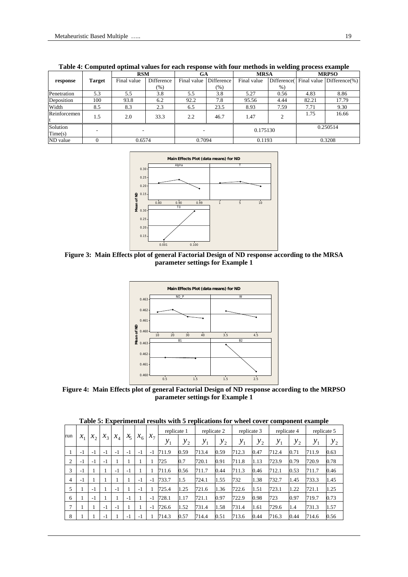|                     |        | <b>RSM</b>  |            | <b>GA</b>   |            | <b>MRSA</b> |             | <b>MRPSO</b> |                           |
|---------------------|--------|-------------|------------|-------------|------------|-------------|-------------|--------------|---------------------------|
| response            | Target | Final value | Difference | Final value | Difference | Final value | Difference( |              | Final value Difference(%) |
|                     |        |             | (% )       |             | $(\%)$     |             | $%$ )       |              |                           |
| Penetration         | 5.3    | 5.5         | 3.8        | 5.5         | 3.8        | 5.27        | 0.56        | 4.83         | 8.86                      |
| Deposition          | 100    | 93.8        | 6.2        | 92.2        | 7.8        | 95.56       | 4.44        | 82.21        | 17.79                     |
| Width               | 8.5    | 8.3         | 2.3        | 6.5         | 23.5       | 8.93        | 7.59        | 7.71         | 9.30                      |
| Reinforcemen        | 1.5    | 2.0         | 33.3       | 2.2         | 46.7       | 1.47        | ◠           | 1.75         | 16.66                     |
| Solution<br>Time(s) |        |             |            |             |            | 0.175130    |             | 0.250514     |                           |
| ND value            |        | 0.6574      |            | 0.7094      |            | 0.1193      |             | 0.3208       |                           |

**Table 4: Computed optimal values for each response with four methods in welding process example** 



**Figure 3: Main Effects plot of general Factorial Design of ND response according to the MRSA parameter settings for Example 1** 



**Figure 4: Main Effects plot of general Factorial Design of ND response according to the MRPSO parameter settings for Example 1** 

|                |      |         |         |                            |                    |         |            |             |         |             |         | Table 5: Experimental results with 5 replications for wheel cover component example |         |                   |         |             |         |
|----------------|------|---------|---------|----------------------------|--------------------|---------|------------|-------------|---------|-------------|---------|-------------------------------------------------------------------------------------|---------|-------------------|---------|-------------|---------|
|                |      |         |         |                            |                    |         |            | replicate 1 |         | replicate 2 |         | replicate 3                                                                         |         | replicate 4       |         | replicate 5 |         |
| run            |      | $x_{2}$ | $x_{3}$ | $x_{\scriptscriptstyle A}$ | $\chi_{\varsigma}$ | $x_{6}$ | $x_{\tau}$ | $y_{1}$     | $y_{2}$ | $y_{1}$     | $y_{2}$ | $y_{1}$                                                                             | $y_{2}$ | ${\mathcal{Y}}_1$ | $y_{2}$ | $y_{1}$     | $y_{2}$ |
|                | $-1$ | $-1$    | $-1$    | $-1$                       | $-1$               | $-1$    | -1         | 711.9       | 0.59    | 713.4       | 0.59    | 712.3                                                                               | 0.47    | 712.4             | 0.71    | 711.9       | 0.63    |
| 2              | -1   | $-1$    | $-1$    | 1                          |                    |         |            | 725         | 0.7     | 720.1       | 0.91    | 711.8                                                                               | 1.13    | 723.9             | 0.79    | 720.9       | 0.78    |
| 3              | $-1$ |         |         | $-1$                       | $-1$               |         |            | 711.6       | 0.56    | 711.7       | 0.44    | 711.3                                                                               | 0.46    | 712.1             | 0.53    | 711.7       | 0.46    |
| $\overline{4}$ | $-1$ |         |         |                            |                    | $-1$    | $-1$       | 733.7       | 1.5     | 724.1       | 1.55    | 732                                                                                 | 1.38    | 732.7             | 1.45    | 733.3       | 1.45    |
| 5              |      | $-1$    |         | $-1$                       |                    | $-1$    |            | 725.4       | 1.25    | 721.6       | 1.36    | 722.6                                                                               | 1.51    | 723.1             | 1.22    | 721.1       | 1.25    |
| 6              |      | $-1$    |         |                            | $-1$               |         | $-1$       | 728.1       | 1.17    | 721.1       | 0.97    | 722.9                                                                               | 0.98    | 723               | 0.97    | 719.7       | 0.73    |
|                |      |         | $-1$    | $-1$                       |                    |         | $-1$       | 726.6       | 1.52    | 731.4       | 1.58    | 731.4                                                                               | 1.61    | 729.6             | 1.4     | 731.3       | 1.57    |
| 8              |      |         | $-1$    |                            | $-1$               | $-1$    |            | 714.3       | 0.57    | 714.4       | 0.51    | 713.6                                                                               | 0.44    | 716.3             | 0.44    | 714.6       | 0.56    |

**Table 5: Experimental results with 5 replications for wheel cover component example**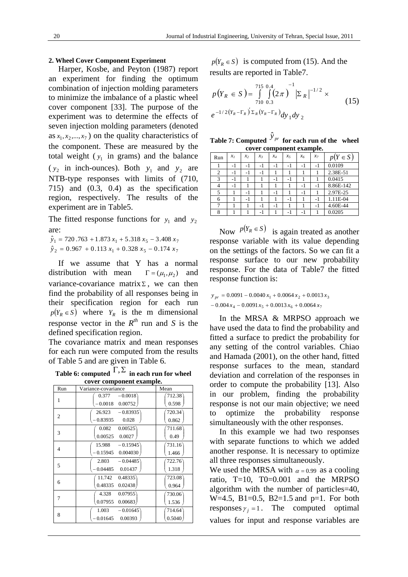#### **2. Wheel Cover Component Experiment**

Harper, Kosbe, and Peyton (1987) report an experiment for finding the optimum combination of injection molding parameters to minimize the imbalance of a plastic wheel cover component [33]. The purpose of the experiment was to determine the effects of seven injection molding parameters (denoted as  $x_1, x_2, ..., x_7$ ) on the quality characteristics of the component. These are measured by the total weight ( $y_1$  in grams) and the balance ( $y_2$  in inch-ounces). Both  $y_1$  and  $y_2$  are NTB-type responses with limits of (710, 715) and (0.3, 0.4) as the specification region, respectively. The results of the experiment are in Table5.

The fitted response functions for  $y_1$  and  $y_2$ are:

 $\hat{y}_1 = 720.763 + 1.873 x_1 + 5.318 x_5 - 3.408 x_7$  $\hat{y}_2 = 0.967 + 0.113 x_1 + 0.328 x_5 - 0.174 x_7$ 

If we assume that Y has a normal distribution with mean  $\Gamma = (\mu_1, \mu_2)$  and variance-covariance matrix  $\Sigma$ , we can then find the probability of all responses being in their specification region for each run  $p(Y_R \in S)$  where  $Y_R$  is the m dimensional response vector in the  $R^{th}$  run and *S* is the defined specification region.

The covariance matrix and mean responses for each run were computed from the results of Table 5 and are given in Table 6.

Table 6: computed  $\Gamma$ ,  $\Sigma$  in each run for wheel **cover component example.** 

| cover component example. |                                                |                  |  |  |  |  |  |  |
|--------------------------|------------------------------------------------|------------------|--|--|--|--|--|--|
| Run                      | Variance-covariance                            | Mean             |  |  |  |  |  |  |
| 1                        | $-0.0018$<br>0.377<br>$-0.0018$<br>0.00752     | 712.38<br>0.598  |  |  |  |  |  |  |
| $\overline{2}$           | 26.923<br>$-0.83935$<br>$-0.83935$<br>0.028    | 720.34<br>0.862  |  |  |  |  |  |  |
| 3                        | 0.00525<br>0.082<br>0.00525<br>0.0027          | 711.68<br>0.49   |  |  |  |  |  |  |
| 4                        | 15.988<br>$-0.15945$<br>0.004030<br>$-0.15945$ | 731.16<br>1.466  |  |  |  |  |  |  |
| 5                        | $-0.04485$<br>2.803<br>0.01437<br>0.04485      | 722.76<br>1.318  |  |  |  |  |  |  |
| 6                        | 11.742<br>0.48335<br>0.48335<br>0.02438        | 723.08<br>0.964  |  |  |  |  |  |  |
| 7                        | 4.328<br>0.07955<br>0.07955<br>0.00683         | 730.06`<br>1.536 |  |  |  |  |  |  |
| 8                        | $-0.01645$<br>1.003<br>$-0.01645$<br>0.00393   | 714.64<br>0.5040 |  |  |  |  |  |  |
|                          |                                                |                  |  |  |  |  |  |  |

 $p(Y_R \in S)$  is computed from (15). And the results are reported in Table7.

$$
p(Y_R \in S) = \int_{710}^{715} \int_{0.3}^{0.4} (2\pi)^{-1} |\Sigma_R|^{-1/2} \times e^{-1/2(Y_R - \Gamma_R)} z_R(Y_R - \Gamma_R) dy_1 dy_2
$$
 (15)

| Table 7: Computed $y_{pr}$ for each run of the wheel |                          |  |
|------------------------------------------------------|--------------------------|--|
|                                                      | cover component example. |  |

| Run | $x_I$ | $x_2$ | $x_3$ | $x_4$ | $x_5$ | x <sub>6</sub> | $x_7$ | $p(Y \in S)$ |
|-----|-------|-------|-------|-------|-------|----------------|-------|--------------|
|     | - 1   | -1    | -1    | -1    | -1    | - 1            | - 1   | 0.0109       |
| 2   | -1    | $-1$  | $-1$  |       |       |                |       | 2.38E-51     |
| 3   | - 1   |       |       | -1    | -1    |                |       | 0.0415       |
|     | - 1   |       |       |       |       | -1             | - 1   | 8.86E-142    |
| 5   |       | -1    |       | -1    |       | -1             |       | 2.97E-25     |
| 6   |       | $-1$  |       |       | -1    |                | - 1   | 1.11E-04     |
|     |       |       | -1    | -1    |       |                | - 1   | 4.60E-44     |
| 8   |       |       | - 1   |       | - 1   | - 1            |       | 0.0205       |

Now  $p(Y_R \in S)$  is again treated as another response variable with its value depending on the settings of the factors. So we can fit a response surface to our new probability response. For the data of Table7 the fitted response function is:

 $-0.004 x_4 - 0.0091 x_5 + 0.0013 x_6 + 0.0064 x_7$  $y_{pr} = 0.0091 - 0.0040 x_1 + 0.0064 x_2 + 0.0013 x_3$ 

In the MRSA & MRPSO approach we have used the data to find the probability and fitted a surface to predict the probability for any setting of the control variables. Chiao and Hamada (2001), on the other hand, fitted response surfaces to the mean, standard deviation and correlation of the responses in order to compute the probability [13]. Also in our problem, finding the probability response is not our main objective; we need to optimize the probability response simultaneously with the other responses.

In this example we had two responses with separate functions to which we added another response. It is necessary to optimize all three responses simultaneously.

We used the MRSA with  $\alpha = 0.99$  as a cooling ratio,  $T=10$ ,  $T0=0.001$  and the MRPSO algorithm with the number of particles=40, W=4.5, B1=0.5, B2=1.5 and  $p=1$ . For both responses  $\gamma_i = 1$ . The computed optimal values for input and response variables are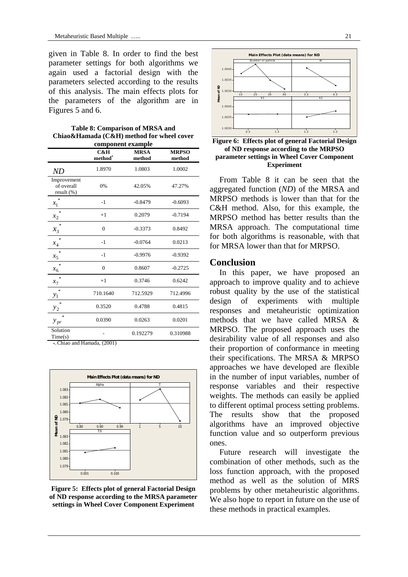given in Table 8. In order to find the best parameter settings for both algorithms we again used a factorial design with the parameters selected according to the results of this analysis. The main effects plots for the parameters of the algorithm are in Figures 5 and 6.

**Table 8: Comparison of MRSA and Chiao&Hamada (C&H) method for wheel cover component example** 

|                                         | C&H<br>method <sup>*</sup> | <b>MRSA</b><br>method | <b>MRPSO</b><br>method |
|-----------------------------------------|----------------------------|-----------------------|------------------------|
| ND                                      | 1.8970                     | 1.0803                | 1.0002                 |
| Improvement<br>of overall<br>result (%) | 0%                         | 42.05%                | 47.27%                 |
| ×.<br>$x_1$                             | $-1$                       | $-0.8479$             | $-0.6093$              |
| $\ast$<br>$x_2$                         | $+1$                       | 0.2079                | $-0.7194$              |
| ×.<br>$x_3$                             | $\Omega$                   | $-0.3373$             | 0.8492                 |
| ×.<br>$x_4$                             | $-1$                       | $-0.0764$             | 0.0213                 |
| $\mathcal{R}$<br>$x_5$                  | $-1$                       | $-0.9976$             | $-0.9392$              |
| ×.<br>$x_6$                             | $\Omega$                   | 0.8607                | $-0.2725$              |
| ×.<br>$x_7$                             | $+1$                       | 0.3746                | 0.6242                 |
| $\frac{1}{2}$<br>$y_1$                  | 710.1640                   | 712.5929              | 712.4996               |
| ×.<br>$y_2$                             | 0.3520                     | 0.4788                | 0.4815                 |
| $\ast$<br>$y_{pr}$                      | 0.0390                     | 0.0263                | 0.0201                 |
| Solution<br>Time(s)<br>$\sim$           | (2001)                     | 0.192279              | 0.310988               |

\*-Chiao and Hamada, (2001)



**Figure 5: Effects plot of general Factorial Design of ND response according to the MRSA parameter settings in Wheel Cover Component Experiment** 



**Figure 6: Effects plot of general Factorial Design of ND response according to the MRPSO parameter settings in Wheel Cover Component Experiment** 

From Table 8 it can be seen that the aggregated function (*ND*) of the MRSA and MRPSO methods is lower than that for the C&H method. Also, for this example, the MRPSO method has better results than the MRSA approach. The computational time for both algorithms is reasonable, with that for MRSA lower than that for MRPSO.

## **Conclusion**

In this paper, we have proposed an approach to improve quality and to achieve robust quality by the use of the statistical design of experiments with multiple responses and metaheuristic optimization methods that we have called MRSA & MRPSO. The proposed approach uses the desirability value of all responses and also their proportion of conformance in meeting their specifications. The MRSA & MRPSO approaches we have developed are flexible in the number of input variables, number of response variables and their respective weights. The methods can easily be applied to different optimal process setting problems. The results show that the proposed algorithms have an improved objective function value and so outperform previous ones.

Future research will investigate the combination of other methods, such as the loss function approach, with the proposed method as well as the solution of MRS problems by other metaheuristic algorithms. We also hope to report in future on the use of these methods in practical examples.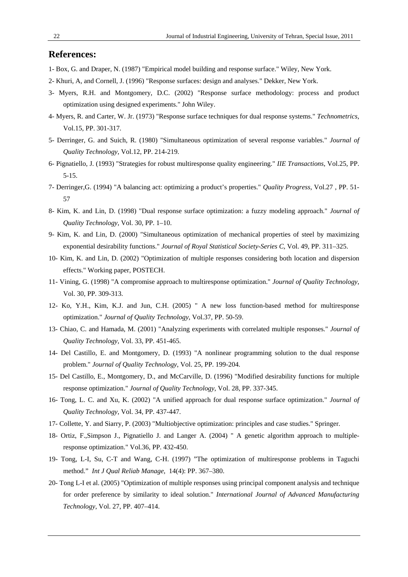## **References:**

- 1- Box, G. and Draper, N. (1987) "Empirical model building and response surface." Wiley, New York.
- 2- Khuri, A, and Cornell, J. (1996) "Response surfaces: design and analyses." Dekker, New York.
- 3- Myers, R.H. and Montgomery, D.C. (2002) "Response surface methodology: process and product optimization using designed experiments." John Wiley.
- 4- Myers, R. and Carter, W. Jr. (1973) "Response surface techniques for dual response systems." *Technometrics*, Vol.15, PP. 301-317.
- 5- Derringer, G. and Suich, R. (1980) "Simultaneous optimization of several response variables." *Journal of Quality Technology*, Vol.12, PP. 214-219.
- 6- Pignatiello, J. (1993) "Strategies for robust multiresponse quality engineering." *IIE Transactions*, Vol.25, PP. 5-15.
- 7- Derringer,G. (1994) "A balancing act: optimizing a product's properties." *Quality Progress*, Vol.27 , PP. 51- 57
- 8- Kim, K. and Lin, D. (1998) "Dual response surface optimization: a fuzzy modeling approach." *Journal of Quality Technology*, Vol. 30, PP. 1–10.
- 9- Kim, K. and Lin, D. (2000) "Simultaneous optimization of mechanical properties of steel by maximizing exponential desirability functions." *Journal of Royal Statistical Society-Series C*, Vol. 49, PP. 311–325.
- 10- Kim, K. and Lin, D. (2002) "Optimization of multiple responses considering both location and dispersion effects." Working paper, POSTECH.
- 11- Vining, G. (1998) "A compromise approach to multiresponse optimization." *Journal of Quality Technology*, Vol. 30, PP. 309-313.
- 12- Ko, Y.H., Kim, K.J. and Jun, C.H. (2005) " A new loss function-based method for multiresponse optimization." *Journal of Quality Technology*, Vol.37, PP. 50-59.
- 13- Chiao, C. and Hamada, M. (2001) "Analyzing experiments with correlated multiple responses." *Journal of Quality Technology*, Vol. 33, PP. 451-465.
- 14- Del Castillo, E. and Montgomery, D. (1993) "A nonlinear programming solution to the dual response problem." *Journal of Quality Technology*, Vol. 25, PP. 199-204.
- 15- Del Castillo, E., Montgomery, D., and McCarville, D. (1996) "Modified desirability functions for multiple response optimization." *Journal of Quality Technology*, Vol. 28, PP. 337-345.
- 16- Tong, L. C. and Xu, K. (2002) "A unified approach for dual response surface optimization." *Journal of Quality Technology*, Vol. 34, PP. 437-447.
- 17- Collette, Y. and Siarry, P. (2003) "Multiobjective optimization: principles and case studies." Springer.
- 18- Ortiz, F.,Simpson J., Pignatiello J. and Langer A. (2004) " A genetic algorithm approach to multipleresponse optimization." Vol.36, PP. 432-450.
- 19- Tong, L-I, Su, C-T and Wang, C-H. (1997) "The optimization of multiresponse problems in Taguchi method." *Int J Qual Reliab Manage*, 14(4): PP. 367–380.
- 20- Tong L-I et al. (2005) "Optimization of multiple responses using principal component analysis and technique for order preference by similarity to ideal solution." *International Journal of Advanced Manufacturing Technology*, Vol. 27, PP. 407–414.